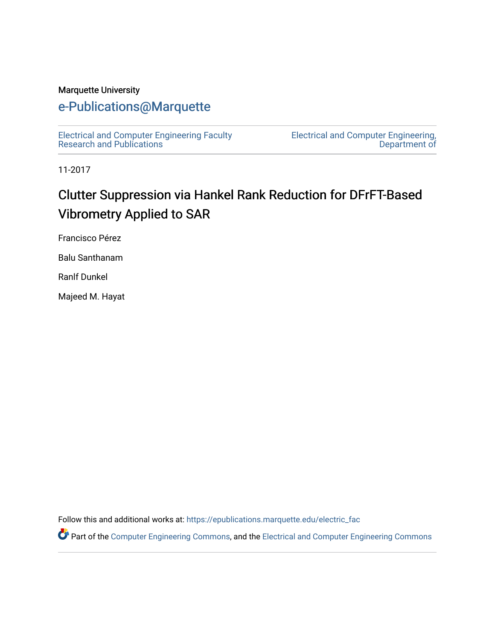#### Marquette University

# [e-Publications@Marquette](https://epublications.marquette.edu/)

[Electrical and Computer Engineering Faculty](https://epublications.marquette.edu/electric_fac) [Research and Publications](https://epublications.marquette.edu/electric_fac) 

[Electrical and Computer Engineering,](https://epublications.marquette.edu/electric)  [Department of](https://epublications.marquette.edu/electric) 

11-2017

# Clutter Suppression via Hankel Rank Reduction for DFrFT-Based Vibrometry Applied to SAR

Francisco Pérez

Balu Santhanam

Ranlf Dunkel

Majeed M. Hayat

Follow this and additional works at: [https://epublications.marquette.edu/electric\\_fac](https://epublications.marquette.edu/electric_fac?utm_source=epublications.marquette.edu%2Felectric_fac%2F544&utm_medium=PDF&utm_campaign=PDFCoverPages) 

Part of the [Computer Engineering Commons,](http://network.bepress.com/hgg/discipline/258?utm_source=epublications.marquette.edu%2Felectric_fac%2F544&utm_medium=PDF&utm_campaign=PDFCoverPages) and the [Electrical and Computer Engineering Commons](http://network.bepress.com/hgg/discipline/266?utm_source=epublications.marquette.edu%2Felectric_fac%2F544&utm_medium=PDF&utm_campaign=PDFCoverPages)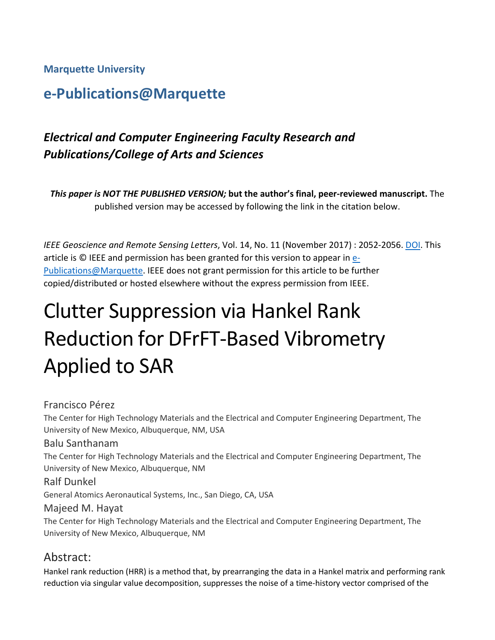**Marquette University**

# **e-Publications@Marquette**

# *Electrical and Computer Engineering Faculty Research and Publications/College of Arts and Sciences*

*This paper is NOT THE PUBLISHED VERSION;* **but the author's final, peer-reviewed manuscript.** The published version may be accessed by following the link in the citation below.

*IEEE Geoscience and Remote Sensing Letters*, Vol. 14, No. 11 (November 2017) : 2052-2056. *DOI*. This article is © IEEE and permission has been granted for this version to appear in [e-](http://epublications.marquette.edu/)[Publications@Marquette.](http://epublications.marquette.edu/) IEEE does not grant permission for this article to be further copied/distributed or hosted elsewhere without the express permission from IEEE.

# Clutter Suppression via Hankel Rank Reduction for DFrFT-Based Vibrometry Applied to SAR

#### Francisco Pérez

The Center for High Technology Materials and the Electrical and Computer Engineering Department, The University of New Mexico, Albuquerque, NM, USA

#### Balu Santhanam

The Center for High Technology Materials and the Electrical and Computer Engineering Department, The University of New Mexico, Albuquerque, NM

#### Ralf Dunkel

General Atomics Aeronautical Systems, Inc., San Diego, CA, USA

#### Majeed M. Hayat

The Center for High Technology Materials and the Electrical and Computer Engineering Department, The University of New Mexico, Albuquerque, NM

# Abstract:

Hankel rank reduction (HRR) is a method that, by prearranging the data in a Hankel matrix and performing rank reduction via singular value decomposition, suppresses the noise of a time-history vector comprised of the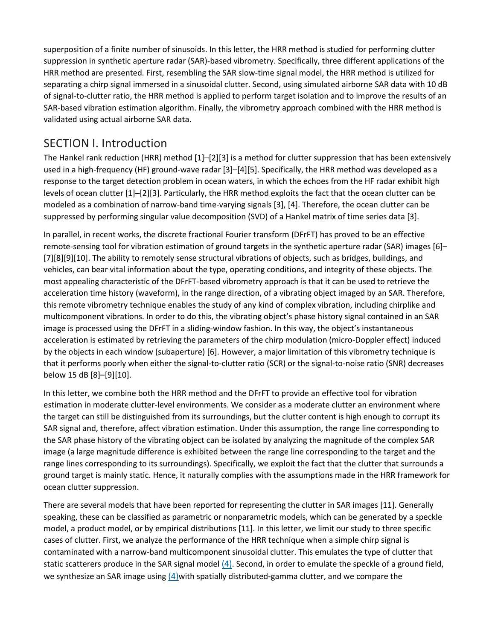superposition of a finite number of sinusoids. In this letter, the HRR method is studied for performing clutter suppression in synthetic aperture radar (SAR)-based vibrometry. Specifically, three different applications of the HRR method are presented. First, resembling the SAR slow-time signal model, the HRR method is utilized for separating a chirp signal immersed in a sinusoidal clutter. Second, using simulated airborne SAR data with 10 dB of signal-to-clutter ratio, the HRR method is applied to perform target isolation and to improve the results of an SAR-based vibration estimation algorithm. Finally, the vibrometry approach combined with the HRR method is validated using actual airborne SAR data.

# SECTION I. Introduction

The Hankel rank reduction (HRR) method [1]–[2][3] is a method for clutter suppression that has been extensively used in a high-frequency (HF) ground-wave radar [3]–[4][5]. Specifically, the HRR method was developed as a response to the target detection problem in ocean waters, in which the echoes from the HF radar exhibit high levels of ocean clutter [1]–[2][3]. Particularly, the HRR method exploits the fact that the ocean clutter can be modeled as a combination of narrow-band time-varying signals [3], [4]. Therefore, the ocean clutter can be suppressed by performing singular value decomposition (SVD) of a Hankel matrix of time series data [3].

In parallel, in recent works, the discrete fractional Fourier transform (DFrFT) has proved to be an effective remote-sensing tool for vibration estimation of ground targets in the synthetic aperture radar (SAR) images [6]– [7][8][9][10]. The ability to remotely sense structural vibrations of objects, such as bridges, buildings, and vehicles, can bear vital information about the type, operating conditions, and integrity of these objects. The most appealing characteristic of the DFrFT-based vibrometry approach is that it can be used to retrieve the acceleration time history (waveform), in the range direction, of a vibrating object imaged by an SAR. Therefore, this remote vibrometry technique enables the study of any kind of complex vibration, including chirplike and multicomponent vibrations. In order to do this, the vibrating object's phase history signal contained in an SAR image is processed using the DFrFT in a sliding-window fashion. In this way, the object's instantaneous acceleration is estimated by retrieving the parameters of the chirp modulation (micro-Doppler effect) induced by the objects in each window (subaperture) [6]. However, a major limitation of this vibrometry technique is that it performs poorly when either the signal-to-clutter ratio (SCR) or the signal-to-noise ratio (SNR) decreases below 15 dB [8]–[9][10].

In this letter, we combine both the HRR method and the DFrFT to provide an effective tool for vibration estimation in moderate clutter-level environments. We consider as a moderate clutter an environment where the target can still be distinguished from its surroundings, but the clutter content is high enough to corrupt its SAR signal and, therefore, affect vibration estimation. Under this assumption, the range line corresponding to the SAR phase history of the vibrating object can be isolated by analyzing the magnitude of the complex SAR image (a large magnitude difference is exhibited between the range line corresponding to the target and the range lines corresponding to its surroundings). Specifically, we exploit the fact that the clutter that surrounds a ground target is mainly static. Hence, it naturally complies with the assumptions made in the HRR framework for ocean clutter suppression.

There are several models that have been reported for representing the clutter in SAR images [11]. Generally speaking, these can be classified as parametric or nonparametric models, which can be generated by a speckle model, a product model, or by empirical distributions [11]. In this letter, we limit our study to three specific cases of clutter. First, we analyze the performance of the HRR technique when a simple chirp signal is contaminated with a narrow-band multicomponent sinusoidal clutter. This emulates the type of clutter that static scatterers produce in the SAR signal model  $(4)$ . Second, in order to emulate the speckle of a ground field, we synthesize an SAR image using  $(4)$  with spatially distributed-gamma clutter, and we compare the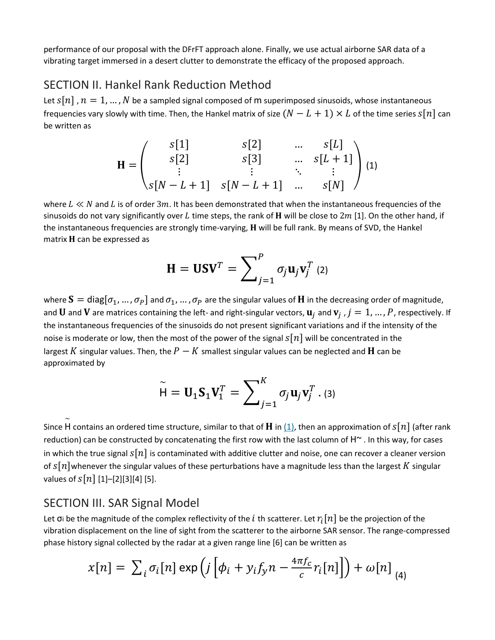performance of our proposal with the DFrFT approach alone. Finally, we use actual airborne SAR data of a vibrating target immersed in a desert clutter to demonstrate the efficacy of the proposed approach.

## SECTION II. Hankel Rank Reduction Method

Let  $s[n]$ ,  $n = 1, ..., N$  be a sampled signal composed of m superimposed sinusoids, whose instantaneous frequencies vary slowly with time. Then, the Hankel matrix of size  $(N - L + 1) \times L$  of the time series  $S[n]$  can be written as

$$
\mathbf{H} = \begin{pmatrix} s[1] & s[2] & \dots & s[L] \\ s[2] & s[3] & \dots & s[L+1] \\ \vdots & \vdots & \ddots & \vdots \\ s[N-L+1] & s[N-L+1] & \dots & s[N] \end{pmatrix} (1)
$$

where  $L \ll N$  and L is of order 3m. It has been demonstrated that when the instantaneous frequencies of the sinusoids do not vary significantly over L time steps, the rank of **H** will be close to  $2m$  [1]. On the other hand, if the instantaneous frequencies are strongly time-varying, H will be full rank. By means of SVD, the Hankel matrix  $H$  can be expressed as

$$
\mathbf{H} = \mathbf{U} \mathbf{S} \mathbf{V}^T = \sum_{j=1}^P \sigma_j \mathbf{u}_j \mathbf{v}_j^T
$$
 (2)

where  $S = \text{diag}[\sigma_1, ..., \sigma_P]$  and  $\sigma_1, ..., \sigma_P$  are the singular values of **H** in the decreasing order of magnitude, and **U** and **V** are matrices containing the left- and right-singular vectors,  $\bf{u}_i$  and  $\bf{v}_i$ ,  $j = 1, ..., P$ , respectively. If the instantaneous frequencies of the sinusoids do not present significant variations and if the intensity of the noise is moderate or low, then the most of the power of the signal  $S[n]$  will be concentrated in the largest K singular values. Then, the  $P - K$  smallest singular values can be neglected and **H** can be approximated by

$$
\widetilde{\mathsf{H}} = \mathbf{U}_1 \mathbf{S}_1 \mathbf{V}_1^T = \sum_{j=1}^K \sigma_j \mathbf{u}_j \mathbf{v}_j^T \ . \ (3)
$$

Since  $\stackrel{\sim}{\mathsf{H}}$  contains an ordered time structure, similar to that of  ${\bf H}$  in <u>(1)</u>, then an approximation of  $s[n]$  (after rank reduction) can be constructed by concatenating the first row with the last column of  $H^{\sim}$  . In this way, for cases in which the true signal  $s[n]$  is contaminated with additive clutter and noise, one can recover a cleaner version of  $s[n]$ whenever the singular values of these perturbations have a magnitude less than the largest K singular values of  $s[n]$  [1]–[2][3][4] [5].

## SECTION III. SAR Signal Model

Let  $\sigma$  be the magnitude of the complex reflectivity of the *i* th scatterer. Let  $r_i[n]$  be the projection of the vibration displacement on the line of sight from the scatterer to the airborne SAR sensor. The range-compressed phase history signal collected by the radar at a given range line [6] can be written as

$$
x[n] = \sum_{i} \sigma_i[n] \exp\left(j\left[\phi_i + y_i f_y n - \frac{4\pi f_c}{c} r_i[n]\right]\right) + \omega[n]_{(4)}
$$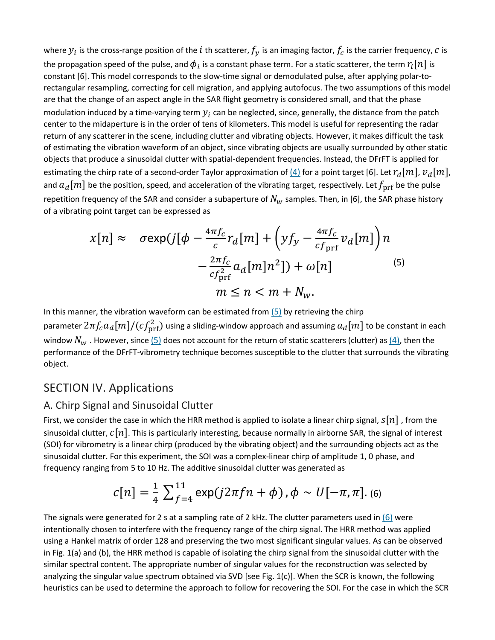where  $y_i$  is the cross-range position of the *i* th scatterer,  $f_y$  is an imaging factor,  $f_c$  is the carrier frequency,  $c$  is the propagation speed of the pulse, and  $\phi_i$  is a constant phase term. For a static scatterer, the term  $r_i[n]$  is constant [6]. This model corresponds to the slow-time signal or demodulated pulse, after applying polar-torectangular resampling, correcting for cell migration, and applying autofocus. The two assumptions of this model are that the change of an aspect angle in the SAR flight geometry is considered small, and that the phase modulation induced by a time-varying term  $y_i$  can be neglected, since, generally, the distance from the patch center to the midaperture is in the order of tens of kilometers. This model is useful for representing the radar return of any scatterer in the scene, including clutter and vibrating objects. However, it makes difficult the task of estimating the vibration waveform of an object, since vibrating objects are usually surrounded by other static objects that produce a sinusoidal clutter with spatial-dependent frequencies. Instead, the DFrFT is applied for estimating the chirp rate of a second-order Taylor approximation of  $(4)$  for a point target [6]. Let  $r_d[m], v_d[m]$ , and  $a_d[m]$  be the position, speed, and acceleration of the vibrating target, respectively. Let  $f_{\rm prf}$  be the pulse repetition frequency of the SAR and consider a subaperture of  $N_w$  samples. Then, in [6], the SAR phase history of a vibrating point target can be expressed as

$$
x[n] \approx \sigma \exp(j[\phi - \frac{4\pi f_c}{c}r_d[m] + \left(yf_y - \frac{4\pi f_c}{cf_{\text{prf}}}v_d[m]\right)n - \frac{2\pi f_c}{cf_{\text{prf}}^2}a_d[m]n^2]) + \omega[n] \tag{5}
$$
  

$$
m \le n < m + N_w.
$$

In this manner, the vibration waveform can be estimated from  $(5)$  by retrieving the chirp parameter  $2\pi f_c a_d [m]/(c f_{\rm prf}^2)$  using a sliding-window approach and assuming  $a_d[m]$  to be constant in each window  $N_w$ . However, since  $(5)$  does not account for the return of static scatterers (clutter) as  $(4)$ , then the performance of the DFrFT-vibrometry technique becomes susceptible to the clutter that surrounds the vibrating object.

## SECTION IV. Applications

#### A. Chirp Signal and Sinusoidal Clutter

First, we consider the case in which the HRR method is applied to isolate a linear chirp signal,  $S[n]$ , from the sinusoidal clutter,  $c[n]$ . This is particularly interesting, because normally in airborne SAR, the signal of interest (SOI) for vibrometry is a linear chirp (produced by the vibrating object) and the surrounding objects act as the sinusoidal clutter. For this experiment, the SOI was a complex-linear chirp of amplitude 1, 0 phase, and frequency ranging from 5 to 10 Hz. The additive sinusoidal clutter was generated as

$$
c[n] = \frac{1}{4} \sum_{f=4}^{11} \exp(j2\pi f n + \phi), \phi \sim U[-\pi, \pi].
$$
 (6)

The signals were generated for 2 s at a sampling rate of 2 kHz. The clutter parameters used in  $(6)$  were intentionally chosen to interfere with the frequency range of the chirp signal. The HRR method was applied using a Hankel matrix of order 128 and preserving the two most significant singular values. As can be observed in Fig. 1(a) and (b), the HRR method is capable of isolating the chirp signal from the sinusoidal clutter with the similar spectral content. The appropriate number of singular values for the reconstruction was selected by analyzing the singular value spectrum obtained via SVD [see Fig. 1(c)]. When the SCR is known, the following heuristics can be used to determine the approach to follow for recovering the SOI. For the case in which the SCR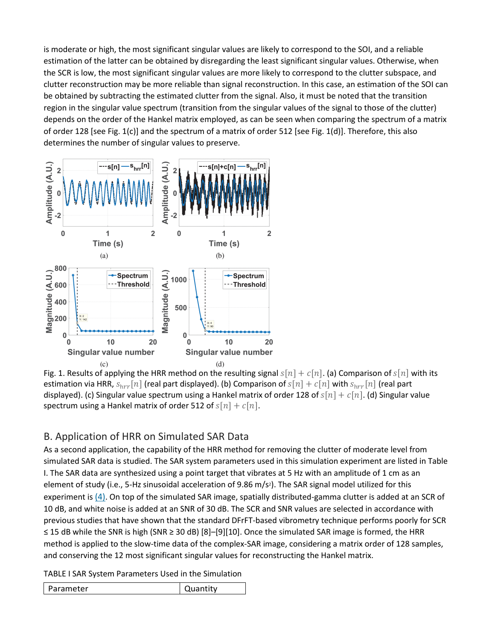is moderate or high, the most significant singular values are likely to correspond to the SOI, and a reliable estimation of the latter can be obtained by disregarding the least significant singular values. Otherwise, when the SCR is low, the most significant singular values are more likely to correspond to the clutter subspace, and clutter reconstruction may be more reliable than signal reconstruction. In this case, an estimation of the SOI can be obtained by subtracting the estimated clutter from the signal. Also, it must be noted that the transition region in the singular value spectrum (transition from the singular values of the signal to those of the clutter) depends on the order of the Hankel matrix employed, as can be seen when comparing the spectrum of a matrix of order 128 [see Fig. 1(c)] and the spectrum of a matrix of order 512 [see Fig. 1(d)]. Therefore, this also determines the number of singular values to preserve.



Fig. 1. Results of applying the HRR method on the resulting signal  $s[n] + c[n]$ . (a) Comparison of  $s[n]$  with its estimation via HRR,  $s_{hrr}[n]$  (real part displayed). (b) Comparison of  $s[n] + c[n]$  with  $s_{hrr}[n]$  (real part displayed). (c) Singular value spectrum using a Hankel matrix of order 128 of  $s[n] + c[n]$ . (d) Singular value spectrum using a Hankel matrix of order 512 of  $s[n] + c[n]$ .

#### B. Application of HRR on Simulated SAR Data

As a second application, the capability of the HRR method for removing the clutter of moderate level from simulated SAR data is studied. The SAR system parameters used in this simulation experiment are listed in Table I. The SAR data are synthesized using a point target that vibrates at 5 Hz with an amplitude of 1 cm as an element of study (i.e., 5-Hz sinusoidal acceleration of 9.86 m/s2). The SAR signal model utilized for this experiment is [\(4\).](https://ieeexplore.ieee.org/document/#deqn4) On top of the simulated SAR image, spatially distributed-gamma clutter is added at an SCR of 10 dB, and white noise is added at an SNR of 30 dB. The SCR and SNR values are selected in accordance with previous studies that have shown that the standard DFrFT-based vibrometry technique performs poorly for SCR ≤ 15 dB while the SNR is high (SNR ≥ 30 dB) [8]–[9][10]. Once the simulated SAR image is formed, the HRR method is applied to the slow-time data of the complex-SAR image, considering a matrix order of 128 samples, and conserving the 12 most significant singular values for reconstructing the Hankel matrix.

TABLE I SAR System Parameters Used in the Simulation

| I Parameter | antitv |
|-------------|--------|
|             |        |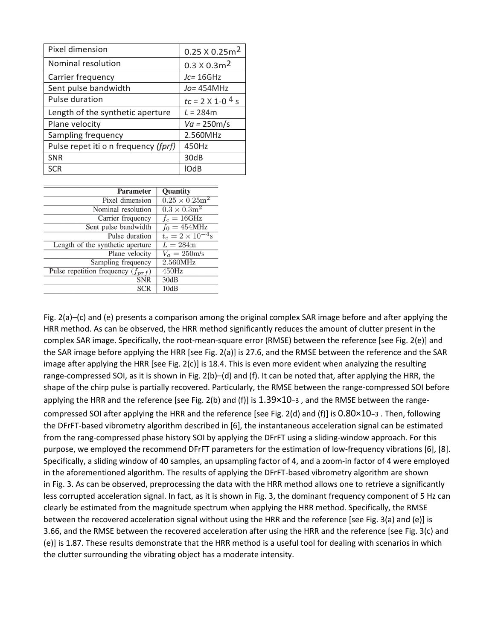| Pixel dimension                      | $0.25 \times 0.25$ m <sup>2</sup> |
|--------------------------------------|-----------------------------------|
| Nominal resolution                   | $0.3 \times 0.3$ m <sup>2</sup>   |
| Carrier frequency                    | $Jc = 16GHz$                      |
| Sent pulse bandwidth                 | $Jo = 454MHz$                     |
| Pulse duration                       | $tc = 2 \times 1 - 0^4$ s         |
| Length of the synthetic aperture     | $l = 284m$                        |
| Plane velocity                       | $Va = 250m/s$                     |
| Sampling frequency                   | 2.560MHz                          |
| Pulse repet iti o n frequency (fprf) | 450Hz                             |
| <b>SNR</b>                           | 30dB                              |
| SCR                                  | <b>IOdB</b>                       |

| Parameter                              | <b>Quantity</b>                   |
|----------------------------------------|-----------------------------------|
| Pixel dimension                        | $0.25 \times 0.25$ m <sup>2</sup> |
| Nominal resolution                     | $0.3 \times 0.3$ m <sup>2</sup>   |
| Carrier frequency                      | $f_c = 16 \text{GHz}$             |
| Sent pulse bandwidth                   | $f_0 = 454 \text{MHz}$            |
| Pulse duration                         | $t_c = 2 \times 10^{-4}$ s        |
| Length of the synthetic aperture       | $L = 284$ m                       |
| Plane velocity                         | $V_a = 250$ m/s                   |
| Sampling frequency                     | 2.560MHz                          |
| Pulse repetition frequency $(f_{prf})$ | 450Hz                             |
| <b>SNR</b>                             | 30dB                              |
| <b>SCR</b>                             | 10dB                              |

Fig. 2(a)–(c) and (e) presents a comparison among the original complex SAR image before and after applying the HRR method. As can be observed, the HRR method significantly reduces the amount of clutter present in the complex SAR image. Specifically, the root-mean-square error (RMSE) between the reference [see Fig. 2(e)] and the SAR image before applying the HRR [see Fig. 2(a)] is 27.6, and the RMSE between the reference and the SAR image after applying the HRR [see Fig. 2(c)] is 18.4. This is even more evident when analyzing the resulting range-compressed SOI, as it is shown in Fig. 2(b)–(d) and (f). It can be noted that, after applying the HRR, the shape of the chirp pulse is partially recovered. Particularly, the RMSE between the range-compressed SOI before applying the HRR and the reference [see Fig. 2(b) and (f)] is 1.39×10−3 , and the RMSE between the rangecompressed SOI after applying the HRR and the reference [see Fig. 2(d) and (f)] is 0.80×10−3 . Then, following the DFrFT-based vibrometry algorithm described in [6], the instantaneous acceleration signal can be estimated from the rang-compressed phase history SOI by applying the DFrFT using a sliding-window approach. For this purpose, we employed the recommend DFrFT parameters for the estimation of low-frequency vibrations [6], [8]. Specifically, a sliding window of 40 samples, an upsampling factor of 4, and a zoom-in factor of 4 were employed in the aforementioned algorithm. The results of applying the DFrFT-based vibrometry algorithm are shown in Fig. 3. As can be observed, preprocessing the data with the HRR method allows one to retrieve a significantly less corrupted acceleration signal. In fact, as it is shown in Fig. 3, the dominant frequency component of 5 Hz can clearly be estimated from the magnitude spectrum when applying the HRR method. Specifically, the RMSE between the recovered acceleration signal without using the HRR and the reference [see Fig. 3(a) and (e)] is 3.66, and the RMSE between the recovered acceleration after using the HRR and the reference [see Fig. 3(c) and (e)] is 1.87. These results demonstrate that the HRR method is a useful tool for dealing with scenarios in which the clutter surrounding the vibrating object has a moderate intensity.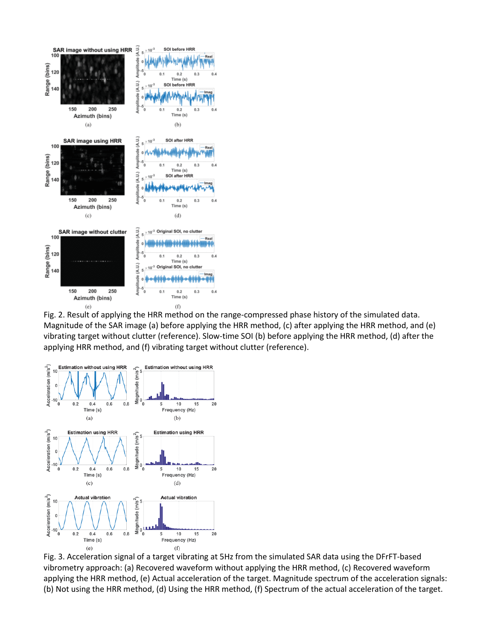

Fig. 2. Result of applying the HRR method on the range-compressed phase history of the simulated data. Magnitude of the SAR image (a) before applying the HRR method, (c) after applying the HRR method, and (e) vibrating target without clutter (reference). Slow-time SOI (b) before applying the HRR method, (d) after the applying HRR method, and (f) vibrating target without clutter (reference).



Fig. 3. Acceleration signal of a target vibrating at 5Hz from the simulated SAR data using the DFrFT-based vibrometry approach: (a) Recovered waveform without applying the HRR method, (c) Recovered waveform applying the HRR method, (e) Actual acceleration of the target. Magnitude spectrum of the acceleration signals: (b) Not using the HRR method, (d) Using the HRR method, (f) Spectrum of the actual acceleration of the target.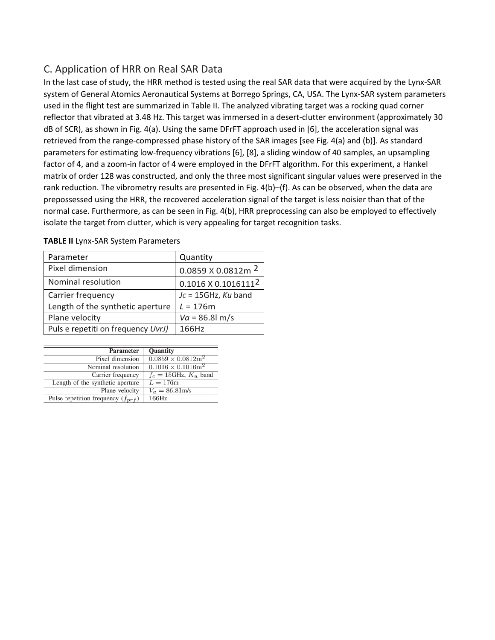### C. Application of HRR on Real SAR Data

In the last case of study, the HRR method is tested using the real SAR data that were acquired by the Lynx-SAR system of General Atomics Aeronautical Systems at Borrego Springs, CA, USA. The Lynx-SAR system parameters used in the flight test are summarized in Table II. The analyzed vibrating target was a rocking quad corner reflector that vibrated at 3.48 Hz. This target was immersed in a desert-clutter environment (approximately 30 dB of SCR), as shown in Fig. 4(a). Using the same DFrFT approach used in [6], the acceleration signal was retrieved from the range-compressed phase history of the SAR images [see Fig. 4(a) and (b)]. As standard parameters for estimating low-frequency vibrations [6], [8], a sliding window of 40 samples, an upsampling factor of 4, and a zoom-in factor of 4 were employed in the DFrFT algorithm. For this experiment, a Hankel matrix of order 128 was constructed, and only the three most significant singular values were preserved in the rank reduction. The vibrometry results are presented in Fig. 4(b)–(f). As can be observed, when the data are prepossessed using the HRR, the recovered acceleration signal of the target is less noisier than that of the normal case. Furthermore, as can be seen in Fig. 4(b), HRR preprocessing can also be employed to effectively isolate the target from clutter, which is very appealing for target recognition tasks.

| Parameter                          | Quantity                      |
|------------------------------------|-------------------------------|
| Pixel dimension                    | $0.0859 \times 0.0812$ m $^2$ |
| Nominal resolution                 | $0.1016 \times 0.10161112$    |
| Carrier frequency                  | $Jc = 15$ GHz, Ku band        |
| Length of the synthetic aperture   | $L = 176m$                    |
| Plane velocity                     | $Va = 86.81 \text{ m/s}$      |
| Puls e repetiti on frequency UvrJ) | 166Hz                         |

#### **TABLE II** Lynx-SAR System Parameters

| <b>Parameter</b>                       | <b>Quantity</b>                       |
|----------------------------------------|---------------------------------------|
| Pixel dimension                        | $0.0859 \times 0.0812$ m <sup>2</sup> |
| Nominal resolution                     | $0.1016 \times 0.1016$ m <sup>2</sup> |
| Carrier frequency                      | $f_c = 15$ GHz, $K_u$ band            |
| Length of the synthetic aperture       | $L = 176$ m                           |
| Plane velocity                         | $V_a = 86.81 \text{m/s}$              |
| Pulse repetition frequency $(f_{prf})$ | 166Hz                                 |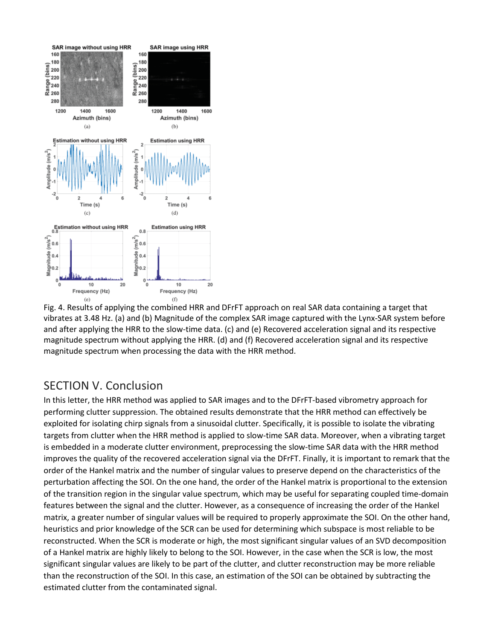

Fig. 4. Results of applying the combined HRR and DFrFT approach on real SAR data containing a target that vibrates at 3.48 Hz. (a) and (b) Magnitude of the complex SAR image captured with the Lynx-SAR system before and after applying the HRR to the slow-time data. (c) and (e) Recovered acceleration signal and its respective magnitude spectrum without applying the HRR. (d) and (f) Recovered acceleration signal and its respective magnitude spectrum when processing the data with the HRR method.

# SECTION V. Conclusion

In this letter, the HRR method was applied to SAR images and to the DFrFT-based vibrometry approach for performing clutter suppression. The obtained results demonstrate that the HRR method can effectively be exploited for isolating chirp signals from a sinusoidal clutter. Specifically, it is possible to isolate the vibrating targets from clutter when the HRR method is applied to slow-time SAR data. Moreover, when a vibrating target is embedded in a moderate clutter environment, preprocessing the slow-time SAR data with the HRR method improves the quality of the recovered acceleration signal via the DFrFT. Finally, it is important to remark that the order of the Hankel matrix and the number of singular values to preserve depend on the characteristics of the perturbation affecting the SOI. On the one hand, the order of the Hankel matrix is proportional to the extension of the transition region in the singular value spectrum, which may be useful for separating coupled time-domain features between the signal and the clutter. However, as a consequence of increasing the order of the Hankel matrix, a greater number of singular values will be required to properly approximate the SOI. On the other hand, heuristics and prior knowledge of the SCR can be used for determining which subspace is most reliable to be reconstructed. When the SCR is moderate or high, the most significant singular values of an SVD decomposition of a Hankel matrix are highly likely to belong to the SOI. However, in the case when the SCR is low, the most significant singular values are likely to be part of the clutter, and clutter reconstruction may be more reliable than the reconstruction of the SOI. In this case, an estimation of the SOI can be obtained by subtracting the estimated clutter from the contaminated signal.